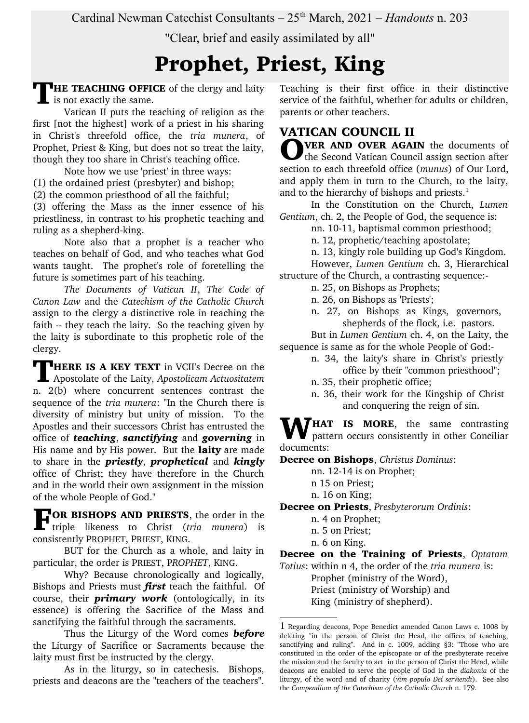Cardinal Newman Catechist Consultants –  $25<sup>th</sup> March, 2021$  – *Handouts* n. 203

"Clear, brief and easily assimilated by all"

# Prophet, Priest, King

**THE TEACHING OFFICE** of the clergy and laity is not exactly the same.

Vatican II puts the teaching of religion as the first [not the highest] work of a priest in his sharing in Christ's threefold office, the *tria munera*, of Prophet, Priest & King, but does not so treat the laity, though they too share in Christ's teaching office.

Note how we use 'priest' in three ways: (1) the ordained priest (presbyter) and bishop; (2) the common priesthood of all the faithful;

(3) offering the Mass as the inner essence of his priestliness, in contrast to his prophetic teaching and ruling as a shepherd-king.

Note also that a prophet is a teacher who teaches on behalf of God, and who teaches what God wants taught. The prophet's role of foretelling the future is sometimes part of his teaching.

*The Documents of Vatican II*, *The Code of Canon Law* and the *Catechism of the Catholic Church* assign to the clergy a distinctive role in teaching the faith -- they teach the laity. So the teaching given by the laity is subordinate to this prophetic role of the clergy.

**HERE IS A KEY TEXT** in VCII's Decree on the **THERE IS A KEY TEXT** in VCII's Decree on the Apostolate of the Laity, *Apostolicam Actuositatem* n. 2(b) where concurrent sentences contrast the sequence of the *tria munera*: "In the Church there is diversity of ministry but unity of mission. To the Apostles and their successors Christ has entrusted the office of *teaching*, *sanctifying* and *governing* in His name and by His power. But the **laity** are made to share in the *priestly*, *prophetical* and *kingly* office of Christ; they have therefore in the Church and in the world their own assignment in the mission of the whole People of God."

TOR BISHOPS AND PRIESTS, the order in the triple likeness to Christ (tria munera) is triple likeness to Christ (*tria munera*) is consistently PROPHET, PRIEST, KING.

BUT for the Church as a whole, and laity in particular, the order is PRIEST, P*ROPHET*, KING.

Why? Because chronologically and logically, Bishops and Priests must *first* teach the faithful. Of course, their *primary work* (ontologically, in its essence) is offering the Sacrifice of the Mass and sanctifying the faithful through the sacraments.

Thus the Liturgy of the Word comes *before* the Liturgy of Sacrifice or Sacraments because the laity must first be instructed by the clergy.

As in the liturgy, so in catechesis. Bishops, priests and deacons are the "teachers of the teachers".

Teaching is their first office in their distinctive service of the faithful, whether for adults or children, parents or other teachers.

# VATICAN COUNCIL II

**OVER AND OVER AGAIN** the documents of<br>the Second Vatican Council assign section after the Second Vatican Council assign section after section to each threefold office (*munus*) of Our Lord, and apply them in turn to the Church, to the laity, and to the hierarchy of bishops and priests. $<sup>1</sup>$  $<sup>1</sup>$  $<sup>1</sup>$ </sup>

In the Constitution on the Church, *Lumen Gentium*, ch. 2, the People of God, the sequence is:

nn. 10-11, baptismal common priesthood;

n. 12, prophetic/teaching apostolate;

n. 13, kingly role building up God's Kingdom.

However, *Lumen Gentium* ch. 3, Hierarchical structure of the Church, a contrasting sequence:-

n. 25, on Bishops as Prophets;

n. 26, on Bishops as 'Priests';

n. 27, on Bishops as Kings, governors, shepherds of the flock, i.e. pastors.

But in *Lumen Gentium* ch. 4, on the Laity, the

sequence is same as for the whole People of God:-

- n. 34, the laity's share in Christ's priestly office by their "common priesthood";
- n. 35, their prophetic office;
- n. 36, their work for the Kingship of Christ and conquering the reign of sin.

**WHAT IS MORE**, the same contrasting<br>pattern occurs consistently in other Conciliar pattern occurs consistently in other Conciliar documents:

Decree on Bishops, *Christus Dominus*:

- nn. 12-14 is on Prophet;
- n 15 on Priest;
- n. 16 on King;

Decree on Priests, *Presbyterorum Ordinis*:

- n. 4 on Prophet;
- n. 5 on Priest;
- n. 6 on King.

Decree on the Training of Priests, *Optatam Totius*: within n 4, the order of the *tria munera* is:

Prophet (ministry of the Word), Priest (ministry of Worship) and

King (ministry of shepherd).

<span id="page-0-0"></span><sup>1</sup> Regarding deacons, Pope Benedict amended Canon Laws c. 1008 by deleting "in the person of Christ the Head, the offices of teaching, sanctifying and ruling". And in c. 1009, adding §3: "Those who are constituted in the order of the episcopate or of the presbyterate receive the mission and the faculty to act in the person of Christ the Head, while deacons are enabled to serve the people of God in the *diakonia* of the liturgy, of the word and of charity (*vim populo Dei serviendi*). See also the *Compendium of the Catechism of the Catholic Church* n. 179.